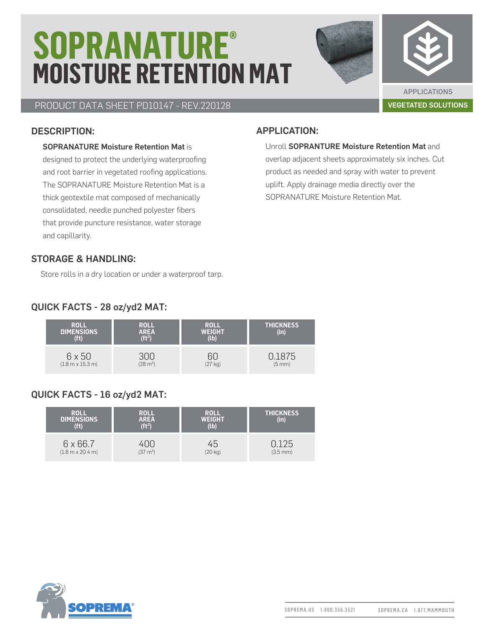# **SOPRANATURE® MOISTURE RETENTION MAT**



### PRODUCT DATA SHEET PD10147 - REV.220128 VEGETATED SOLUTIONS

#### DESCRIPTION:

#### SOPRANATURE Moisture Retention Mat is

designed to protect the underlying waterproofing and root barrier in vegetated roofing applications. The SOPRANATURE Moisture Retention Mat is a thick geotextile mat composed of mechanically consolidated, needle punched polyester fibers that provide puncture resistance, water storage and capillarity.

#### APPLICATION:

#### Unroll SOPRANTURE Moisture Retention Mat and overlap adjacent sheets approximately six inches. Cut product as needed and spray with water to prevent uplift. Apply drainage media directly over the SOPRANATURE Moisture Retention Mat.

#### STORAGE & HANDLING:

Store rolls in a dry location or under a waterproof tarp.

#### QUICK FACTS - 28 oz/yd2 MAT:

| <b>ROLL</b><br><b>DIMENSIONS</b><br>(f <sub>t</sub> ) | <b>ROLL</b><br>$AREA$<br>(ft <sup>2</sup> ) | <b>ROLL</b><br><b>WEIGHT</b><br>(lb) | <b>THICKNESS</b><br>(in) |
|-------------------------------------------------------|---------------------------------------------|--------------------------------------|--------------------------|
| 6 x 50                                                | (28 m <sup>2</sup> )                        | ำเ                                   | .1875                    |
| $(1.8 m \times 15.3 m)$                               |                                             | (27 kg)                              | (5 mm)                   |

#### QUICK FACTS - 16 oz/yd2 MAT:

| <b>ROLL</b><br><b>DIMENSIONS</b><br>(ft) | <b>ROLL</b><br><b>AREA</b><br>(f <sup>2</sup> ) | <b>ROLL</b><br><b>WEIGHT</b><br>(lb) | <b>THICKNESS</b><br>(in) |
|------------------------------------------|-------------------------------------------------|--------------------------------------|--------------------------|
| $6 \times 66.7$                          | $(37 \text{ m}^2)$                              | 45                                   | .25                      |
| $(1.8 m \times 20.4 m)$                  |                                                 | $(20 \text{ kg})$                    | $(3.5 \, \text{mm})$     |